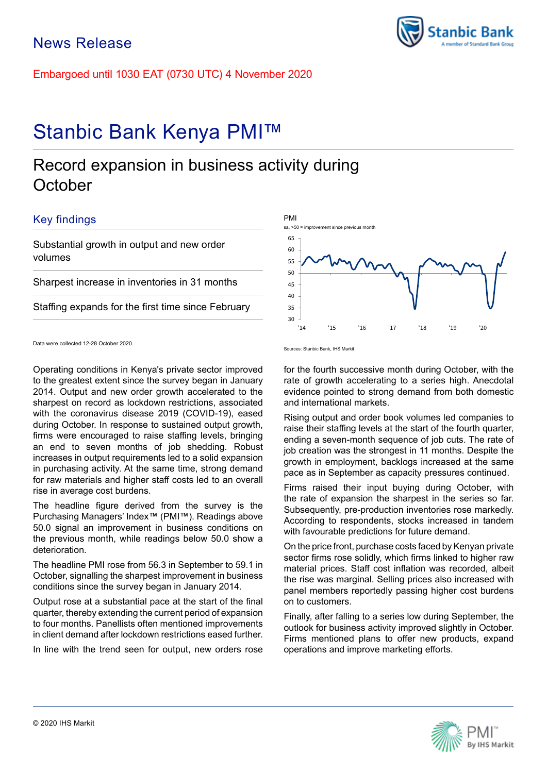Embargoed until 1030 EAT (0730 UTC) 4 November 2020

# Stanbic Bank Kenya PMI™

## Record expansion in business activity during **October**

## Key findings

Substantial growth in output and new order volumes

Sharpest increase in inventories in 31 months

Staffing expands for the first time since February

Operating conditions in Kenya's private sector improved to the greatest extent since the survey began in January 2014. Output and new order growth accelerated to the sharpest on record as lockdown restrictions, associated with the coronavirus disease 2019 (COVID-19), eased during October. In response to sustained output growth, firms were encouraged to raise staffing levels, bringing an end to seven months of job shedding. Robust increases in output requirements led to a solid expansion in purchasing activity. At the same time, strong demand for raw materials and higher staff costs led to an overall rise in average cost burdens.

The headline figure derived from the survey is the Purchasing Managers' Index™ (PMI™). Readings above 50.0 signal an improvement in business conditions on the previous month, while readings below 50.0 show a deterioration.

The headline PMI rose from 56.3 in September to 59.1 in October, signalling the sharpest improvement in business conditions since the survey began in January 2014.

Output rose at a substantial pace at the start of the final quarter, thereby extending the current period of expansion to four months. Panellists often mentioned improvements in client demand after lockdown restrictions eased further.

In line with the trend seen for output, new orders rose



Sources: Stanbic Bank, IHS Markit.

for the fourth successive month during October, with the rate of growth accelerating to a series high. Anecdotal evidence pointed to strong demand from both domestic and international markets.

Rising output and order book volumes led companies to raise their staffing levels at the start of the fourth quarter, ending a seven-month sequence of job cuts. The rate of job creation was the strongest in 11 months. Despite the growth in employment, backlogs increased at the same pace as in September as capacity pressures continued.

Firms raised their input buying during October, with the rate of expansion the sharpest in the series so far. Subsequently, pre-production inventories rose markedly. According to respondents, stocks increased in tandem with favourable predictions for future demand.

On the price front, purchase costs faced by Kenyan private sector firms rose solidly, which firms linked to higher raw material prices. Staff cost inflation was recorded, albeit the rise was marginal. Selling prices also increased with panel members reportedly passing higher cost burdens on to customers.

Finally, after falling to a series low during September, the outlook for business activity improved slightly in October. Firms mentioned plans to offer new products, expand operations and improve marketing efforts.





Data were collected 12-28 October 2020.